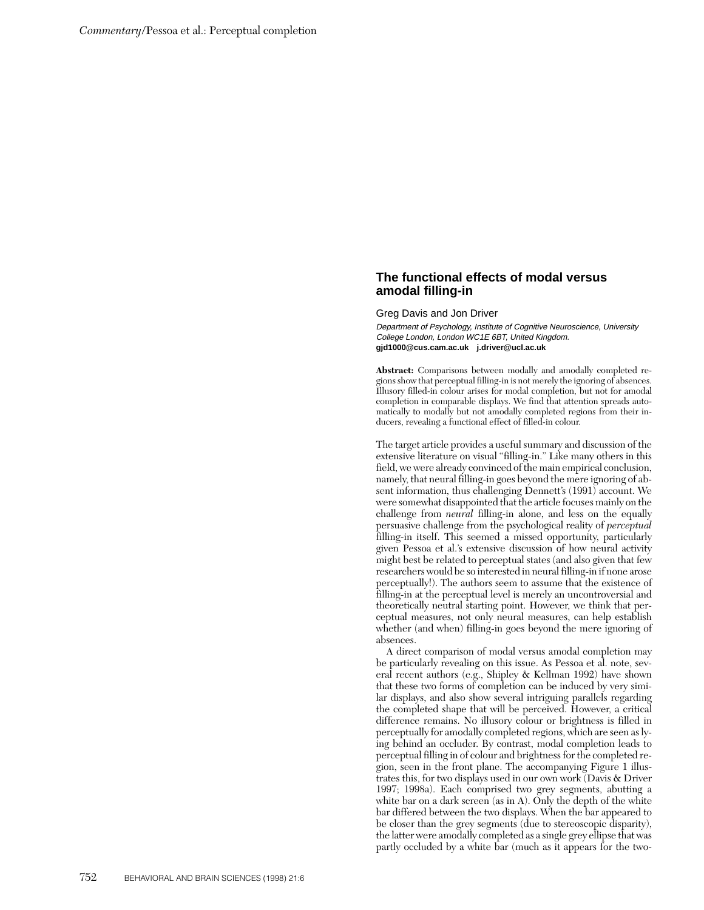## **The functional effects of modal versus amodal filling-in**

Greg Davis and Jon Driver

Department of Psychology, Institute of Cognitive Neuroscience, University College London, London WC1E 6BT, United Kingdom. **gjd1000@cus.cam.ac.uk j.driver@ucl.ac.uk**

**Abstract:** Comparisons between modally and amodally completed regions show that perceptual filling-in is not merely the ignoring of absences. Illusory filled-in colour arises for modal completion, but not for amodal completion in comparable displays. We find that attention spreads automatically to modally but not amodally completed regions from their inducers, revealing a functional effect of filled-in colour.

The target article provides a useful summary and discussion of the extensive literature on visual "filling-in." Like many others in this field, we were already convinced of the main empirical conclusion, namely, that neural filling-in goes beyond the mere ignoring of absent information, thus challenging Dennett's (1991) account. We were somewhat disappointed that the article focuses mainly on the challenge from *neural* filling-in alone, and less on the equally persuasive challenge from the psychological reality of *perceptual* filling-in itself. This seemed a missed opportunity, particularly given Pessoa et al.'s extensive discussion of how neural activity might best be related to perceptual states (and also given that few researchers would be so interested in neural filling-in if none arose perceptually!). The authors seem to assume that the existence of filling-in at the perceptual level is merely an uncontroversial and theoretically neutral starting point. However, we think that perceptual measures, not only neural measures, can help establish whether (and when) filling-in goes beyond the mere ignoring of absences.

A direct comparison of modal versus amodal completion may be particularly revealing on this issue. As Pessoa et al. note, several recent authors (e.g., Shipley & Kellman 1992) have shown that these two forms of completion can be induced by very similar displays, and also show several intriguing parallels regarding the completed shape that will be perceived. However, a critical difference remains. No illusory colour or brightness is filled in perceptually for amodally completed regions, which are seen as lying behind an occluder. By contrast, modal completion leads to perceptual filling in of colour and brightness for the completed region, seen in the front plane. The accompanying Figure 1 illustrates this, for two displays used in our own work (Davis & Driver 1997; 1998a). Each comprised two grey segments, abutting a white bar on a dark screen (as in A). Only the depth of the white bar differed between the two displays. When the bar appeared to be closer than the grey segments (due to stereoscopic disparity), the latter were amodally completed as a single grey ellipse that was partly occluded by a white bar (much as it appears for the two-